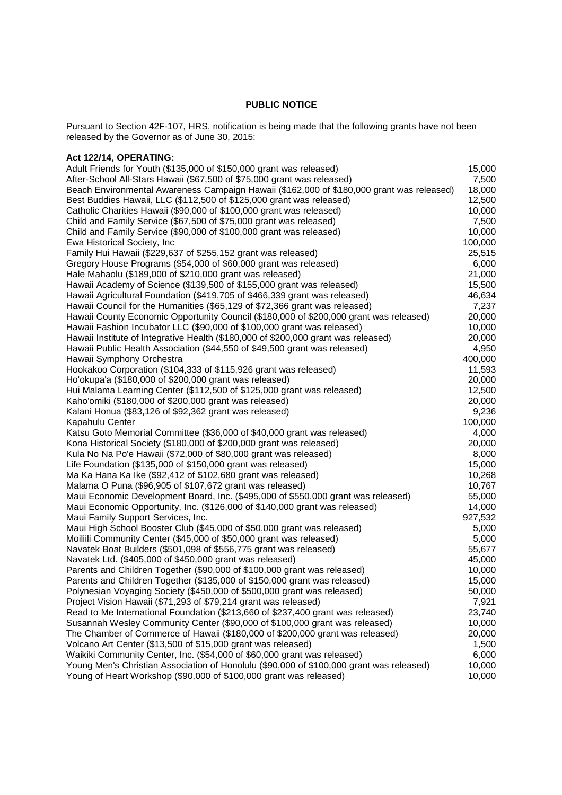## **PUBLIC NOTICE**

Pursuant to Section 42F-107, HRS, notification is being made that the following grants have not been released by the Governor as of June 30, 2015:

## **Act 122/14, OPERATING:**

| Adult Friends for Youth (\$135,000 of \$150,000 grant was released)                       | 15,000  |
|-------------------------------------------------------------------------------------------|---------|
| After-School All-Stars Hawaii (\$67,500 of \$75,000 grant was released)                   | 7,500   |
| Beach Environmental Awareness Campaign Hawaii (\$162,000 of \$180,000 grant was released) | 18,000  |
| Best Buddies Hawaii, LLC (\$112,500 of \$125,000 grant was released)                      | 12,500  |
| Catholic Charities Hawaii (\$90,000 of \$100,000 grant was released)                      | 10,000  |
| Child and Family Service (\$67,500 of \$75,000 grant was released)                        | 7,500   |
| Child and Family Service (\$90,000 of \$100,000 grant was released)                       | 10,000  |
| Ewa Historical Society, Inc                                                               | 100,000 |
| Family Hui Hawaii (\$229,637 of \$255,152 grant was released)                             | 25,515  |
| Gregory House Programs (\$54,000 of \$60,000 grant was released)                          | 6,000   |
| Hale Mahaolu (\$189,000 of \$210,000 grant was released)                                  | 21,000  |
| Hawaii Academy of Science (\$139,500 of \$155,000 grant was released)                     | 15,500  |
| Hawaii Agricultural Foundation (\$419,705 of \$466,339 grant was released)                | 46,634  |
| Hawaii Council for the Humanities (\$65,129 of \$72,366 grant was released)               | 7,237   |
| Hawaii County Economic Opportunity Council (\$180,000 of \$200,000 grant was released)    | 20,000  |
| Hawaii Fashion Incubator LLC (\$90,000 of \$100,000 grant was released)                   | 10,000  |
| Hawaii Institute of Integrative Health (\$180,000 of \$200,000 grant was released)        | 20,000  |
| Hawaii Public Health Association (\$44,550 of \$49,500 grant was released)                | 4,950   |
| Hawaii Symphony Orchestra                                                                 | 400,000 |
| Hookakoo Corporation (\$104,333 of \$115,926 grant was released)                          | 11,593  |
| Ho'okupa'a (\$180,000 of \$200,000 grant was released)                                    | 20,000  |
| Hui Malama Learning Center (\$112,500 of \$125,000 grant was released)                    | 12,500  |
| Kaho'omiki (\$180,000 of \$200,000 grant was released)                                    | 20,000  |
| Kalani Honua (\$83,126 of \$92,362 grant was released)                                    | 9,236   |
| Kapahulu Center                                                                           | 100,000 |
| Katsu Goto Memorial Committee (\$36,000 of \$40,000 grant was released)                   | 4,000   |
| Kona Historical Society (\$180,000 of \$200,000 grant was released)                       | 20,000  |
| Kula No Na Po'e Hawaii (\$72,000 of \$80,000 grant was released)                          | 8,000   |
| Life Foundation (\$135,000 of \$150,000 grant was released)                               | 15,000  |
| Ma Ka Hana Ka Ike (\$92,412 of \$102,680 grant was released)                              | 10,268  |
| Malama O Puna (\$96,905 of \$107,672 grant was released)                                  | 10,767  |
| Maui Economic Development Board, Inc. (\$495,000 of \$550,000 grant was released)         | 55,000  |
| Maui Economic Opportunity, Inc. (\$126,000 of \$140,000 grant was released)               | 14,000  |
| Maui Family Support Services, Inc.                                                        | 927,532 |
| Maui High School Booster Club (\$45,000 of \$50,000 grant was released)                   | 5,000   |
| Moiliili Community Center (\$45,000 of \$50,000 grant was released)                       | 5,000   |
| Navatek Boat Builders (\$501,098 of \$556,775 grant was released)                         | 55,677  |
| Navatek Ltd. (\$405,000 of \$450,000 grant was released)                                  | 45,000  |
| Parents and Children Together (\$90,000 of \$100,000 grant was released)                  | 10,000  |
| Parents and Children Together (\$135,000 of \$150,000 grant was released)                 | 15,000  |
| Polynesian Voyaging Society (\$450,000 of \$500,000 grant was released)                   | 50,000  |
| Project Vision Hawaii (\$71,293 of \$79,214 grant was released)                           | 7,921   |
| Read to Me International Foundation (\$213,660 of \$237,400 grant was released)           | 23,740  |
| Susannah Wesley Community Center (\$90,000 of \$100,000 grant was released)               | 10,000  |
| The Chamber of Commerce of Hawaii (\$180,000 of \$200,000 grant was released)             | 20,000  |
| Volcano Art Center (\$13,500 of \$15,000 grant was released)                              | 1,500   |
| Waikiki Community Center, Inc. (\$54,000 of \$60,000 grant was released)                  | 6,000   |
| Young Men's Christian Association of Honolulu (\$90,000 of \$100,000 grant was released)  | 10,000  |
| Young of Heart Workshop (\$90,000 of \$100,000 grant was released)                        | 10,000  |